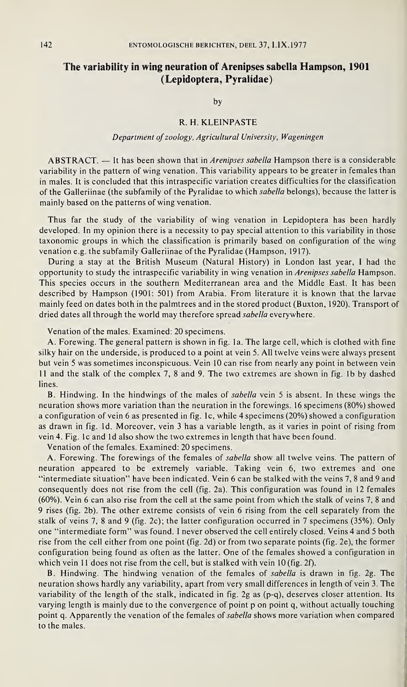# The variability in wing neuration of Arenipses sabella Hampson, 1901 (Lepidoptera, Pyralidae)

by

## R. H. KLEINPASTE

#### Department of zoology, Agricultural University, Wageningen

ABSTRACT. — It has been shown that in Arenipses sabella Hampson there is a considerable variability in the pattern of wing venation. This variability appears to be greater in females than in males. It is concluded that this intraspecific variation creates difficulties for the classification of the Galleriinae (the subfamily of the Pyralidae to which sabella belongs), because the latter is mainly based on the patterns of wing venation.

Thus far the study of the variability of wing venation in Lepidoptera has been hardly developed. In my opinion there is a necessity to pay special attention to this variability in those taxonomic groups in which the classification is primarily based on configuration of the wing venation e.g. the subfamily Galleriinae of the Pyralidae (Hampson, 1917).

During a stay at the British Museum (Natural History) in London last year, <sup>I</sup> had the opportunity to study the intraspecific variability in wing venation in *Arenipses sabella* Hampson. This species occurs in the southern Mediterranean area and the Middle East. It has been described by Hampson (1901: 501) from Arabia. From literature it is known that the larvae mainly feed on dates both in the palmtrees and in the stored product (Buxton, 1920). Transport of dried dates all through the world may therefore spread sabella everywhere.

Venation of the males. Examined: 20 specimens.

A. Forewing. The general pattern is shown in fig. la. The large cell, which is clothed with fine silky hair on the underside, is produced to a point at vein 5. All twelve veins were always present but vein 5 was sometimes inconspicuous. Vein 10 can rise from nearly any point in between vein <sup>11</sup> and the stalk of the complex 7, <sup>8</sup> and 9. The two extremes are shown in fig. lb by dashed lines.

B. Hindwing. In the hindwings of the males of sabella vein <sup>5</sup> is absent. In these wings the neuration shows more variation than the neuration in the forewings. 16 specimens (80%) showed a configuration of vein 6 as presented in fig. lc, while 4 specimens (20%) showed a configuration as drawn in fig. Id. Moreover, vein <sup>3</sup> has a variable length, as it varies in point of rising from vein 4. Fig. lc and Id also show the two extremes in length that have been found.

Venation of the females. Examined: 20 specimens.

A. Forewing. The forewings of the females of sabella show all twelve veins. The pattern of neuration appeared to be extremely variable. Taking vein 6, two extremes and one "intermediate situation" have been indicated. Vein 6 can be stalked with the veins 7, <sup>8</sup> and 9 and consequently does not rise from the cell (fig. 2a). This configuration was found in 12 females (60%). Vein 6 can also rise from the cell at the same point from which the stalk of veins 7, 8 and 9 rises (fig. 2b). The other extreme consists of vein 6 rising from the cell separately from the stalk of veins 7, 8 and 9 (fig. 2c); the latter configuration occurred in 7 specimens (35%). Only one "intermediate form" was found. <sup>I</sup> never observed the cell entirely closed. Veins 4 and <sup>5</sup> both rise from the cell either from one point (fig. 2d) or from two separate points (fig. 2e), the former configuration being found as often as the latter. One of the females showed a configuration in which vein 11 does not rise from the cell, but is stalked with vein 10 (fig. 2f).

B. Hindwing. The hindwing venation of the females of sabella is drawn in fig. 2g. The neuration shows hardly any variability, apart from very small differences in length of vein 3. The variability of the length of the stalk, indicated in fig. 2g as (p-q), deserves closer attention. Its varying length is mainly due to the convergence of point p on point q, without actually touching point q. Apparently the venation of the females of sabella shows more variation when compared to the males.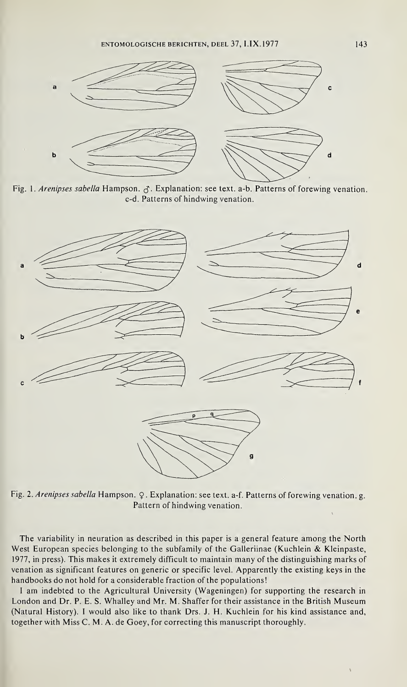

Fig. 1. Arenipses sabella Hampson.  $\sigma$ . Explanation: see text. a-b. Patterns of forewing venation. c-d. Patterns of hindwing venation.



Fig. 2. Arenipses sabella Hampson. Q. Explanation: see text. a-f. Patterns of forewing venation. g. Pattern of hindwing venation.

The variability in neuration as described in this paper is a general feature among the North West European species belonging to the subfamily of the Galleriinae (Kuchlein & Kleinpaste, 1977, in press). This makes it extremely difficult to maintain many of the distinguishing marks of venation as significant features on generic or specific level. Apparently the existing keys in the handbooks do not hold for a considerable fraction of the populations!

<sup>I</sup> am indebted to the Agricultural University (Wageningen) for supporting the research in London and Dr. P. E. S. Whalley and Mr. M. Shaffer for their assistance in the British Museum (Natural History). I would also like to thank Drs. J. H. Küchlein for his kind assistance and, together with Miss C. M. A. de Goey, for correcting this manuscript thoroughly.